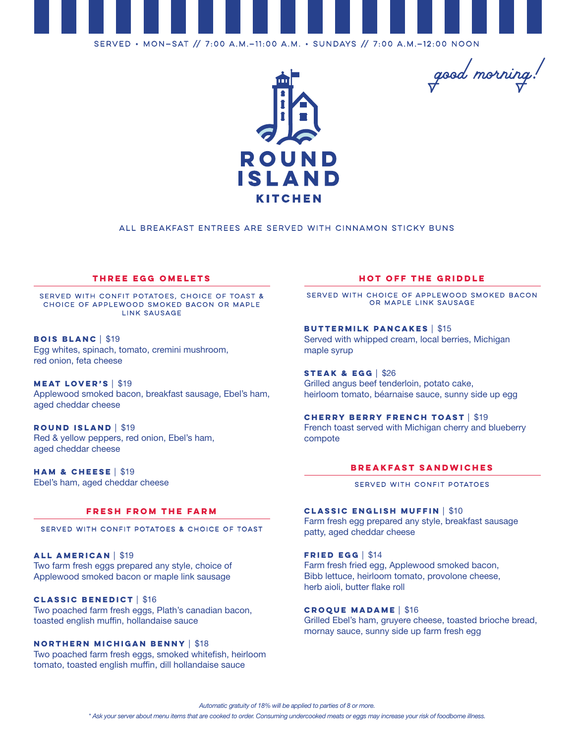

Served • Mon—Sat // 7:00 a.m.—11:00 a.m. • Sundays // 7:00 a.m.—12:00 noon



*good morning!* 

## All Breakfast Entrees are served with Cinnamon Sticky Buns

## **three egg omelets**

Served with confit potatoes, choice of toast & choice of applewood smoked bacon or maple link sausage

**Bois Blanc** | \$19 Egg whites, spinach, tomato, cremini mushroom, red onion, feta cheese

**Meat Lover's** | \$19 Applewood smoked bacon, breakfast sausage, Ebel's ham, aged cheddar cheese

**Round Island** | \$19 Red & yellow peppers, red onion, Ebel's ham, aged cheddar cheese

**Ham & Cheese** | \$19 Ebel's ham, aged cheddar cheese

### **Fresh from the Farm**

Served with Confit Potatoes & Choice of Toast

**All American** | \$19 Two farm fresh eggs prepared any style, choice of Applewood smoked bacon or maple link sausage

#### **Classic Benedict** | \$16

Two poached farm fresh eggs, Plath's canadian bacon, toasted english muffin, hollandaise sauce

# **Northern Michigan Benny** | \$18

Two poached farm fresh eggs, smoked whitefish, heirloom tomato, toasted english muffin, dill hollandaise sauce

# **Hot off the Griddle**

Served with Choice of Applewood Smoked Bacon or Maple Link Sausage

**Buttermilk Pancakes** | \$15 Served with whipped cream, local berries, Michigan maple syrup

**Steak & Egg** | \$26 Grilled angus beef tenderloin, potato cake, heirloom tomato, béarnaise sauce, sunny side up egg

**Cherry Berry French Toast** | \$19 French toast served with Michigan cherry and blueberry compote

## **Breakfast Sandwiches**

#### SERVED WITH CONFIT POTATOES

**Classic English Muffin** | \$10 Farm fresh egg prepared any style, breakfast sausage patty, aged cheddar cheese

**Fried Egg** | \$14 Farm fresh fried egg, Applewood smoked bacon, Bibb lettuce, heirloom tomato, provolone cheese, herb aioli, butter flake roll

### **Croque Madame** | \$16

Grilled Ebel's ham, gruyere cheese, toasted brioche bread, mornay sauce, sunny side up farm fresh egg

*Automatic gratuity of 18% will be applied to parties of 8 or more.*

*\* Ask your server about menu items that are cooked to order. Consuming undercooked meats or eggs may increase your risk of foodborne illness.*